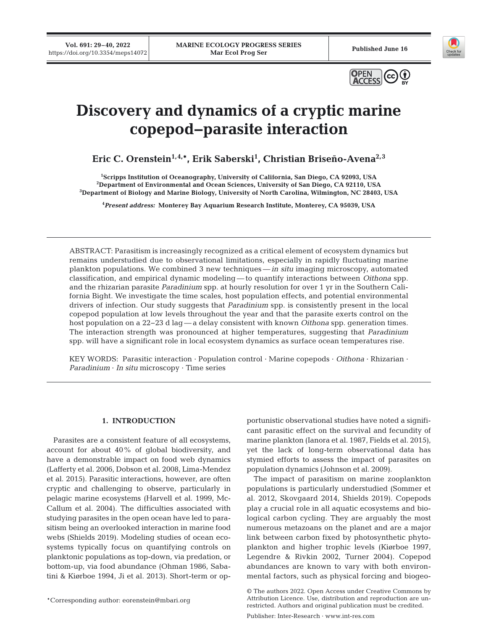**Vol. 691: 29–40, 2022** 





# **Discovery and dynamics of a cryptic marine copepod−parasite interaction**

**Eric C. Orenstein1,4,\*, Erik Saberski1 , Christian Briseño-Avena2,3**

<sup>1</sup>Scripps Institution of Oceanography, University of California, San Diego, CA 92093, USA<br><sup>2</sup>Department of Environmental and Ocean Sciences, University of San Diego, CA 92110, US4 <sup>2</sup>Department of Environmental and Ocean Sciences, University of San Diego, CA 92110, USA <sup>3</sup>Department of Biology and Marine Biology, University of North Carolina, Wilmington, NC 28403, USA

**4** *Present address:* **Monterey Bay Aquarium Research Institute, Monterey, CA 95039, USA**

ABSTRACT: Parasitism is increasingly recognized as a critical element of ecosystem dynamics but remains understudied due to observational limitations, especially in rapidly fluctuating marine plankton populations. We combined 3 new techniques — *in situ* imaging microscopy, automated classification, and empirical dynamic modeling — to quantify interactions between *Oithona* spp. and the rhizarian parasite *Paradinium* spp. at hourly resolution for over 1 yr in the Southern California Bight. We investigate the time scales, host population effects, and potential environmental drivers of infection. Our study suggests that *Paradinium* spp. is consistently present in the local copepod population at low levels throughout the year and that the parasite exerts control on the host population on a 22−23 d lag — a delay consistent with known *Oithona* spp. generation times. The interaction strength was pronounced at higher temperatures, suggesting that *Paradinium* spp. will have a significant role in local ecosystem dynamics as surface ocean temperatures rise.

KEY WORDS: Parasitic interaction · Population control · Marine copepods · *Oithona* · Rhizarian · *Paradinium* · *In situ* microscopy · Time series

# **1. INTRODUCTION**

Parasites are a consistent feature of all ecosystems, account for about 40% of global biodiversity, and have a demonstrable impact on food web dynamics (Lafferty et al. 2006, Dobson et al. 2008, Lima-Mendez et al. 2015). Parasitic interactions, however, are often cryptic and challenging to observe, particularly in pelagic marine ecosystems (Harvell et al. 1999, Mc-Callum et al. 2004). The difficulties associated with studying parasites in the open ocean have led to parasitism being an overlooked interaction in marine food webs (Shields 2019). Modeling studies of ocean ecosystems typically focus on quantifying controls on planktonic populations as top-down, via predation, or bottom-up, via food abundance (Ohman 1986, Sabatini & Kiørboe 1994, Ji et al. 2013). Short-term or op-

\*Corresponding author: eorenstein@mbari.org

portunistic observational studies have noted a significant parasitic effect on the survival and fecundity of marine plankton (Ianora et al. 1987, Fields et al. 2015), yet the lack of long-term observational data has stymied efforts to assess the impact of parasites on population dynamics (Johnson et al. 2009).

The impact of parasitism on marine zooplankton populations is particularly understudied (Sommer et al. 2012, Skovgaard 2014, Shields 2019). Copepods play a crucial role in all aquatic ecosystems and biological carbon cycling. They are arguably the most numerous metazoans on the planet and are a major link between carbon fixed by photosynthetic phytoplankton and higher trophic levels (Kiørboe 1997, Legendre & Rivkin 2002, Turner 2004). Copepod abundances are known to vary with both environmental factors, such as physical forcing and biogeo-

© The authors 2022. Open Access under Creative Commons by Attribution Licence. Use, distribution and reproduction are unrestricted. Authors and original publication must be credited.

Publisher: Inter-Research · www.int-res.com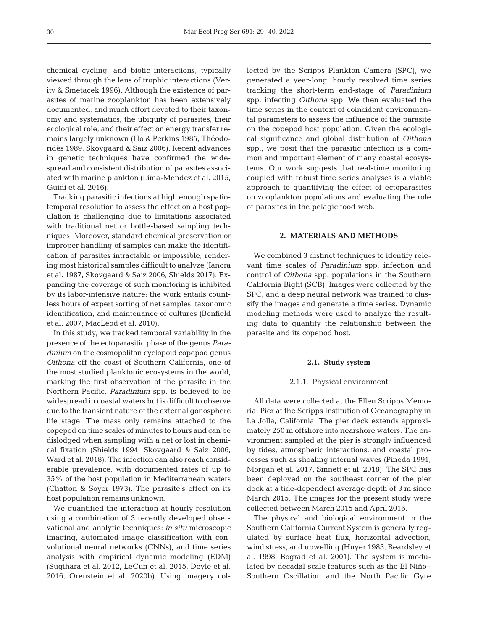chemical cycling, and biotic interactions, typically viewed through the lens of trophic interactions (Verity & Smetacek 1996). Although the existence of parasites of marine zooplankton has been extensively documented, and much effort devoted to their taxonomy and systematics, the ubiquity of parasites, their ecological role, and their effect on energy transfer re mains largely unknown (Ho & Perkins 1985, Théodo ridès 1989, Skovgaard & Saiz 2006). Recent advances in genetic techniques have confirmed the widespread and consistent distribution of parasites associated with marine plankton (Lima-Mendez et al. 2015, Guidi et al. 2016).

Tracking parasitic infections at high enough spatio temporal resolution to assess the effect on a host population is challenging due to limitations associated with traditional net or bottle-based sampling techniques. Moreover, standard chemical preservation or improper handling of samples can make the identification of parasites intractable or impossible, rendering most historical samples difficult to analyze (Ianora et al. 1987, Skovgaard & Saiz 2006, Shields 2017). Expanding the coverage of such monitoring is inhibited by its labor-intensive nature; the work entails countless hours of expert sorting of net samples, taxonomic identification, and maintenance of cultures (Benfield et al. 2007, MacLeod et al. 2010).

In this study, we tracked temporal variability in the presence of the ectoparasitic phase of the genus *Para dinium* on the cosmopolitan cyclopoid copepod genus *Oithona* off the coast of Southern California, one of the most studied planktonic ecosystems in the world, marking the first observation of the parasite in the Northern Pacific. *Paradinium* spp. is believed to be widespread in coastal waters but is difficult to observe due to the transient nature of the external gonosphere life stage. The mass only remains attached to the copepod on time scales of minutes to hours and can be dislodged when sampling with a net or lost in chemical fixation (Shields 1994, Skovgaard & Saiz 2006, Ward et al. 2018). The infection can also reach considerable prevalence, with documented rates of up to 35% of the host population in Mediterranean waters (Chatton & Soyer 1973). The parasite's effect on its host population remains unknown.

We quantified the interaction at hourly resolution using a combination of 3 recently developed observational and analytic techniques: *in situ* microscopic imaging, automated image classification with convolutional neural networks (CNNs), and time series analysis with empirical dynamic modeling (EDM) (Sugihara et al. 2012, LeCun et al. 2015, Deyle et al. 2016, Orenstein et al. 2020b). Using imagery collected by the Scripps Plankton Camera (SPC), we generated a year-long, hourly resolved time series tracking the short-term end-stage of *Paradinium* spp. infecting *Oithona* spp. We then evaluated the time series in the context of coincident environmental parameters to assess the influence of the parasite on the copepod host population. Given the ecological significance and glo bal distribution of *Oithona* spp., we posit that the parasitic infection is a common and important element of many coastal ecosystems. Our work suggests that real-time monitoring coupled with robust time series analyses is a viable approach to quantifying the effect of ectoparasites on zooplankton populations and evaluating the role of parasites in the pelagic food web.

# **2. MATERIALS AND METHODS**

We combined 3 distinct techniques to identify relevant time scales of *Paradinium* spp. infection and control of *Oithona* spp. populations in the Southern California Bight (SCB). Images were collected by the SPC, and a deep neural network was trained to classify the images and generate a time series. Dynamic modeling methods were used to analyze the resulting data to quantify the relationship between the parasite and its copepod host.

## **2.1. Study system**

### 2.1.1. Physical environment

All data were collected at the Ellen Scripps Memorial Pier at the Scripps Institution of Oceanography in La Jolla, California. The pier deck extends approximately 250 m offshore into nearshore waters. The environment sampled at the pier is strongly influenced by tides, atmospheric interactions, and coastal processes such as shoaling internal waves (Pineda 1991, Morgan et al. 2017, Sinnett et al. 2018). The SPC has been deployed on the southeast corner of the pier deck at a tide-dependent average depth of 3 m since March 2015. The images for the present study were collected between March 2015 and April 2016.

The physical and biological environment in the Southern California Current System is generally regulated by surface heat flux, horizontal advection, wind stress, and upwelling (Huyer 1983, Beardsley et al. 1998, Bograd et al. 2001). The system is modulated by decadal-scale features such as the El Niño− Southern Oscillation and the North Pacific Gyre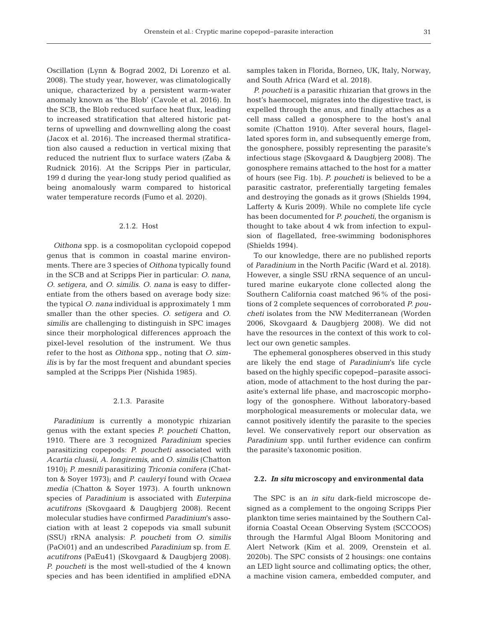Oscillation (Lynn & Bograd 2002, Di Lorenzo et al. 2008). The study year, however, was climatologically unique, characterized by a persistent warm-water anomaly known as 'the Blob' (Cavole et al. 2016). In the SCB, the Blob reduced surface heat flux, leading to increased stratification that altered historic patterns of upwelling and downwelling along the coast (Jacox et al. 2016). The increased thermal stratification also caused a reduction in vertical mixing that reduced the nutrient flux to surface waters (Zaba & Rudnick 2016). At the Scripps Pier in particular, 199 d during the year-long study period qualified as being anomalously warm compared to historical water temperature records (Fumo et al. 2020).

# 2.1.2. Host

*Oithona* spp. is a cosmopolitan cyclopoid copepod genus that is common in coastal marine environments. There are 3 species of *Oithona* typically found in the SCB and at Scripps Pier in particular: *O. nana*, *O. setigera*, and *O. similis*. *O. nana* is easy to differentiate from the others based on average body size: the typical *O. nana* individual is approximately 1 mm smaller than the other species. *O. setigera* and *O. similis* are challenging to distinguish in SPC images since their morphological differences approach the pixel-level resolution of the instrument. We thus refer to the host as *Oithona* spp., noting that *O. similis* is by far the most frequent and abundant species sampled at the Scripps Pier (Nishida 1985).

# 2.1.3. Parasite

*Paradinium* is currently a monotypic rhizarian genus with the extant species *P. poucheti* Chatton, 1910. There are 3 recognized *Paradinium* species parasitizing copepods: *P. poucheti* associated with *Acartia cluasii*, *A. longiremis*, and *O. similis* (Chatton 1910); *P. mesnili* parasitizing *Triconia conifera* (Chatton & Soyer 1973); and *P. cauleryi* found with *Ocaea media* (Chatton & Soyer 1973). A fourth unknown species of *Paradinium* is associated with *Euterpina acutifrons* (Skovgaard & Daugbjerg 2008). Recent molecular studies have confirmed *Paradinium*'s association with at least 2 copepods via small subunit (SSU) rRNA analysis: *P. poucheti* from *O. similis* (PaOi01) and an undescribed *Paradinium* sp. from *E. acutifrons* (PaEu41) (Skovgaard & Daugbjerg 2008). *P. poucheti* is the most well-studied of the 4 known species and has been identified in amplified eDNA

samples taken in Florida, Borneo, UK, Italy, Norway, and South Africa (Ward et al. 2018).

*P. poucheti* is a parasitic rhizarian that grows in the host's haemocoel, migrates into the digestive tract, is expelled through the anus, and finally attaches as a cell mass called a gonosphere to the host's anal somite (Chatton 1910). After several hours, flagellated spores form in, and subsequently emerge from, the gonosphere, possibly representing the parasite's infectious stage (Skovgaard & Daugbjerg 2008). The gonosphere remains attached to the host for a matter of hours (see Fig. 1b). *P. poucheti* is believed to be a parasitic castrator, preferentially targeting females and destroying the gonads as it grows (Shields 1994, Lafferty & Kuris 2009). While no complete life cycle has been documented for *P. poucheti*, the organism is thought to take about 4 wk from infection to expulsion of flagellated, free-swimming bodonisphores (Shields 1994).

To our knowledge, there are no published reports of *Paradinium* in the North Pacific (Ward et al. 2018). However, a single SSU rRNA sequence of an uncultured marine eukaryote clone collected along the Southern California coast matched 96% of the positions of 2 complete sequences of corroborated *P. pou cheti* isolates from the NW Mediterranean (Worden 2006, Skovgaard & Daugbjerg 2008). We did not have the resources in the context of this work to collect our own genetic samples.

The ephemeral gonospheres observed in this study are likely the end stage of *Paradinium*'s life cycle based on the highly specific copepod−parasite association, mode of attachment to the host during the parasite's external life phase, and macroscopic morphology of the gonosphere. Without laboratory-based morphological measurements or molecular data, we cannot positively identify the parasite to the species level. We conservatively report our observation as *Paradinium* spp. until further evidence can confirm the parasite's taxonomic position.

### **2.2.** *In situ* **microscopy and environmental data**

The SPC is an *in situ* dark-field microscope designed as a complement to the ongoing Scripps Pier plankton time series maintained by the Southern California Coastal Ocean Observing System (SCCOOS) through the Harmful Algal Bloom Monitoring and Alert Network (Kim et al. 2009, Orenstein et al. 2020b). The SPC consists of 2 housings: one contains an LED light source and collimating optics; the other, a machine vision camera, embedded computer, and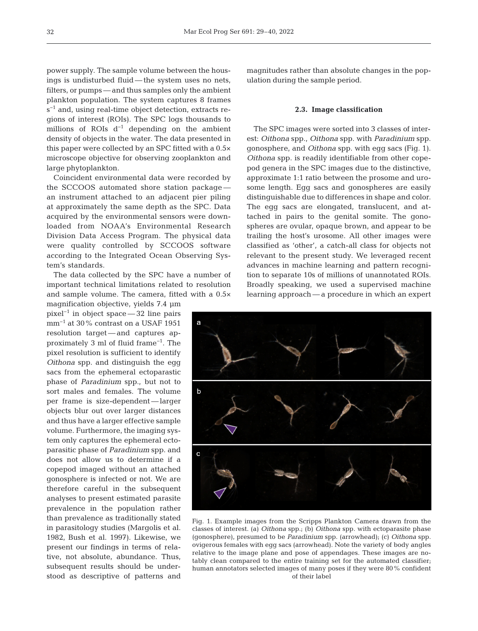power supply. The sample volume between the housings is undisturbed fluid — the system uses no nets, filters, or pumps — and thus samples only the ambient plankton population. The system captures 8 frames s<sup>-1</sup> and, using real-time object detection, extracts regions of interest (ROIs). The SPC logs thousands to millions of ROIs  $d^{-1}$  depending on the ambient density of objects in the water. The data presented in this paper were collected by an SPC fitted with a 0.5× microscope objective for observing zooplankton and large phytoplankton.

Coincident environmental data were recorded by the SCCOOS automated shore station package an instrument attached to an adjacent pier piling at approximately the same depth as the SPC. Data acquired by the environmental sensors were downloaded from NOAA's Environmental Research Division Data Access Program. The physical data were quality controlled by SCCOOS software according to the Integrated Ocean Observing System's standards.

The data collected by the SPC have a number of important technical limitations related to resolution and sample volume. The camera, fitted with a 0.5×

magnification objective, yields 7.4 μm pixel−1 in object space — 32 line pairs mm<sup>-1</sup> at 30% contrast on a USAF 1951 resolution target-and captures approxi mately 3 ml of fluid frame−1. The pixel resolution is sufficient to identify *Oithona* spp. and distinguish the egg sacs from the ephemeral ectoparastic phase of *Paradinium* spp., but not to sort males and females. The volume per frame is size-dependent — larger objects blur out over larger distances and thus have a larger effective sample volume. Furthermore, the imaging system only captures the ephemeral ectoparasitic phase of *Paradinium* spp. and does not allow us to determine if a copepod imaged without an attached gonosphere is infected or not. We are therefore careful in the subsequent ana lyses to present estimated parasite pre valence in the population rather than prevalence as traditionally stated in parasitology studies (Margolis et al. 1982, Bush et al. 1997). Likewise, we present our findings in terms of relative, not absolute, abundance. Thus, subsequent results should be understood as descriptive of patterns and

magnitudes rather than absolute changes in the population during the sample period.

## **2.3. Image classification**

The SPC images were sorted into 3 classes of interest: *Oithona* spp., *Oithona* spp. with *Paradinium* spp. gonosphere, and *Oithona* spp. with egg sacs (Fig. 1). *Oithona* spp. is readily identifiable from other copepod genera in the SPC images due to the distinctive, approximate 1:1 ratio between the prosome and urosome length. Egg sacs and gonospheres are easily distinguishable due to differences in shape and color. The egg sacs are elongated, translucent, and attached in pairs to the genital somite. The gonospheres are ovular, opaque brown, and appear to be trailing the host's urosome. All other images were classified as 'other', a catch-all class for objects not relevant to the present study. We leveraged recent advances in machine learning and pattern recognition to separate 10s of millions of unannotated ROIs. Broadly speaking, we used a supervised machine learning approach — a procedure in which an expert



Fig. 1. Example images from the Scripps Plankton Camera drawn from the classes of interest. (a) *Oithona* spp.; (b) *Oithona* spp. with ectoparasite phase (gonosphere), presumed to be *Paradinium* spp. (arrowhead); (c) *Oithona* spp. ovigerous females with egg sacs (arrowhead). Note the variety of body angles relative to the image plane and pose of appendages. These images are notably clean compared to the entire training set for the automated classifier; human annotators selected images of many poses if they were 80% confident of their label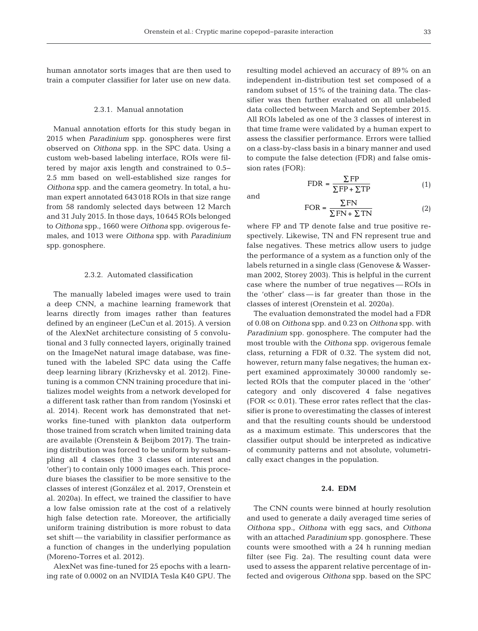human annotator sorts images that are then used to train a computer classifier for later use on new data.

## 2.3.1. Manual annotation

Manual annotation efforts for this study began in 2015 when *Paradinium* spp. gonospheres were first observed on *Oithona* spp. in the SPC data. Using a custom web-based labeling interface, ROIs were filtered by major axis length and constrained to 0.5− 2.5 mm based on well-established size ranges for *Oithona* spp. and the camera geometry. In total, a human expert annotated 643 018 ROIs in that size range from 58 randomly selected days between 12 March and 31 July 2015. In those days, 10 645 ROIs belonged to Oithona spp., 1660 were Oithona spp. ovigerous females, and 1013 were *Oithona* spp. with *Para dinium* spp. gonosphere.

## 2.3.2. Automated classification

The manually labeled images were used to train a deep CNN, a machine learning framework that learns directly from images rather than features defined by an engineer (LeCun et al. 2015). A version of the AlexNet architecture consisting of 5 convolutional and 3 fully connected layers, originally trained on the ImageNet natural image database, was finetuned with the labeled SPC data using the Caffe deep learning library (Krizhevsky et al. 2012). Finetuning is a common CNN training procedure that initializes model weights from a network developed for a different task rather than from random (Yosinski et al. 2014). Recent work has demonstrated that networks fine-tuned with plankton data outperform those trained from scratch when limited training data are available (Orenstein & Beijbom 2017). The training distribution was forced to be uniform by subsampling all 4 classes (the 3 classes of interest and 'other') to contain only 1000 images each. This procedure biases the classifier to be more sensitive to the classes of interest (González et al. 2017, Orenstein et al. 2020a). In effect, we trained the classifier to have a low false omission rate at the cost of a relatively high false detection rate. Moreover, the artificially uniform training distribution is more robust to data set shift — the variability in classifier performance as a function of changes in the underlying population (Moreno-Torres et al. 2012).

AlexNet was fine-tuned for 25 epochs with a learning rate of 0.0002 on an NVIDIA Tesla K40 GPU. The resulting model achieved an accuracy of 89% on an independent in-distribution test set composed of a random subset of 15% of the training data. The classifier was then further evaluated on all unlabeled data collected between March and September 2015. All ROIs labeled as one of the 3 classes of interest in that time frame were validated by a human expert to assess the classifier performance. Errors were tallied on a class-by-class basis in a binary manner and used to compute the false detection (FDR) and false omission rates (FOR):

$$
FDR = \frac{\sum FP}{\sum FP + \sum TP}
$$
 (1)

and

$$
FOR = \frac{\Sigma FN}{\Sigma FN + \Sigma TN}
$$
 (2)

where FP and TP denote false and true positive respectively. Likewise, TN and FN represent true and false negatives. These metrics allow users to judge the performance of a system as a function only of the labels returned in a single class (Genovese & Wasserman 2002, Storey 2003). This is helpful in the current case where the number of true negatives — ROIs in the 'other' class — is far greater than those in the classes of interest (Orenstein et al. 2020a).

The evaluation demonstrated the model had a FDR of 0.08 on *Oithona* spp. and 0.23 on *Oithona* spp. with *Paradinium* spp. gonosphere. The computer had the most trouble with the *Oithona* spp. ovigerous female class, returning a FDR of 0.32. The system did not, however, return many false negatives; the human expert examined approximately 30000 randomly selected ROIs that the computer placed in the 'other' category and only discovered 4 false negatives  $(FOR \ll 0.01)$ . These error rates reflect that the classifier is prone to overestimating the classes of interest and that the resulting counts should be understood as a maximum estimate. This underscores that the classifier output should be interpreted as indicative of community patterns and not absolute, volumetrically exact changes in the population.

# **2.4. EDM**

The CNN counts were binned at hourly resolution and used to generate a daily averaged time series of *Oithona* spp., *Oithona* with egg sacs, and *Oithona* with an attached *Paradinium* spp. gonosphere. These counts were smoothed with a 24 h running median filter (see Fig. 2a). The resulting count data were used to assess the apparent relative percentage of in fected and ovigerous *Oithona* spp. based on the SPC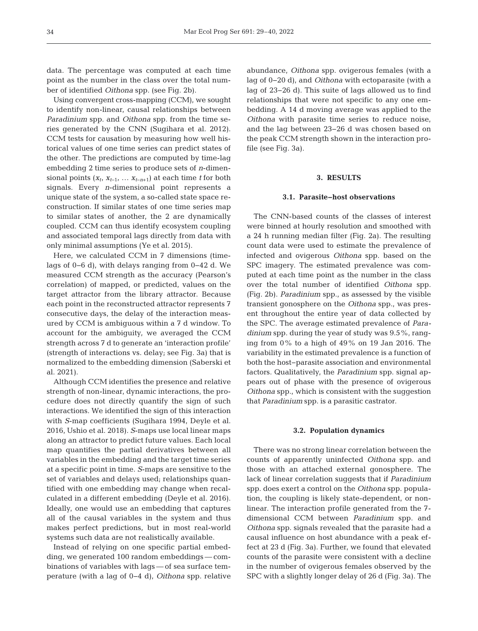data. The percentage was computed at each time point as the number in the class over the total number of identified *Oithona* spp. (see Fig. 2b).

Using convergent cross-mapping (CCM), we sought to identify non-linear, causal relationships between *Paradinium* spp. and *Oithona* spp. from the time series generated by the CNN (Sugihara et al. 2012). CCM tests for causation by measuring how well historical values of one time series can predict states of the other. The predictions are computed by time-lag embedding 2 time series to produce sets of *n*-dimensional points  $(x_t, x_{t-1}, \ldots, x_{t-n+1})$  at each time *t* for both signals. Every *n*-dimensional point represents a unique state of the system, a so-called state space reconstruction. If similar states of one time series map to similar states of another, the 2 are dynamically coupled. CCM can thus identify ecosystem coupling and associated temporal lags directly from data with only minimal assumptions (Ye et al. 2015).

Here, we calculated CCM in 7 dimensions (timelags of 0−6 d), with delays ranging from 0−42 d. We measured CCM strength as the accuracy (Pearson's correlation) of mapped, or predicted, values on the target attractor from the library attractor. Because each point in the reconstructed attractor represents 7 consecutive days, the delay of the interaction measured by CCM is ambiguous within a 7 d window. To account for the ambiguity, we averaged the CCM strength across 7 d to generate an 'interaction profile' (strength of interactions vs. delay; see Fig. 3a) that is normalized to the embedding dimension (Saberski et al. 2021).

Although CCM identifies the presence and relative strength of non-linear, dynamic interactions, the procedure does not directly quantify the sign of such interactions. We identified the sign of this interaction with *S*-map coefficients (Sugihara 1994, Deyle et al. 2016, Ushio et al. 2018). *S*-maps use local linear maps along an attractor to predict future values. Each local map quantifies the partial derivatives between all variables in the embedding and the target time series at a specific point in time. *S*-maps are sensitive to the set of variables and delays used; relationships quantified with one embedding may change when recalculated in a different embedding (Deyle et al. 2016). Ideally, one would use an embedding that captures all of the causal variables in the system and thus makes perfect predictions, but in most real-world systems such data are not realistically available.

Instead of relying on one specific partial embedding, we generated 100 random embeddings — combinations of variables with lags — of sea surface temperature (with a lag of 0−4 d), *Oithona* spp. relative abundance, *Oithona* spp. ovigerous females (with a lag of 0−20 d), and *Oithona* with ectoparasite (with a lag of 23−26 d). This suite of lags allowed us to find relationships that were not specific to any one em bedding. A 14 d moving average was applied to the *Oithona* with parasite time series to reduce noise, and the lag between 23−26 d was chosen based on the peak CCM strength shown in the interaction profile (see Fig. 3a).

# **3. RESULTS**

## **3.1. Parasite−host observations**

The CNN-based counts of the classes of interest were binned at hourly resolution and smoothed with a 24 h running median filter (Fig. 2a). The resulting count data were used to estimate the prevalence of infected and ovigerous *Oithona* spp. based on the SPC imagery. The estimated prevalence was computed at each time point as the number in the class over the total number of identified *Oithona* spp. (Fig. 2b). *Paradinium* spp., as assessed by the visible transient gonosphere on the *Oithona* spp., was present throughout the entire year of data collected by the SPC. The average estimated prevalence of *Para dinium* spp. during the year of study was 9.5%, ranging from 0% to a high of 49% on 19 Jan 2016. The variability in the estimated prevalence is a function of both the host−parasite association and environmental factors. Qualitatively, the *Paradinium* spp. signal appears out of phase with the presence of ovigerous *Oithona* spp., which is consistent with the suggestion that *Paradinium* spp. is a parasitic castrator.

## **3.2. Population dynamics**

There was no strong linear correlation between the counts of apparently uninfected *Oithona* spp. and those with an attached external gonosphere. The lack of linear correlation suggests that if *Paradinium* spp. does exert a control on the *Oithona* spp. population, the coupling is likely state-dependent, or nonlinear. The interaction profile generated from the 7 dimensional CCM between *Paradinium* spp. and *Oithona* spp. signals revealed that the parasite had a causal influence on host abundance with a peak ef fect at 23 d (Fig. 3a). Further, we found that elevated counts of the parasite were consistent with a decline in the number of ovigerous females observed by the SPC with a slightly longer delay of 26 d (Fig. 3a). The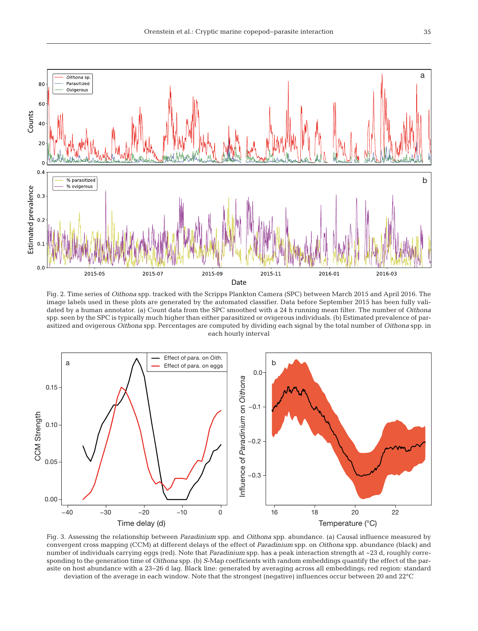

Fig. 2. Time series of *Oithona* spp. tracked with the Scripps Plankton Camera (SPC) between March 2015 and April 2016. The image labels used in these plots are generated by the automated classifier. Data before September 2015 has been fully validated by a human annotator. (a) Count data from the SPC smoothed with a 24 h running mean filter. The number of *Oithona* spp. seen by the SPC is typically much higher than either parasitized or ovigerous individuals. (b) Estimated prevalence of parasitized and ovigerous *Oithona* spp. Percentages are computed by dividing each signal by the total number of *Oithona* spp. in each hourly interval



Fig. 3. Assessing the relationship between *Paradinium* spp. and *Oithona* spp. abundance. (a) Causal influence measured by convergent cross mapping (CCM) at different delays of the effect of *Paradinium* spp. on *Oithona* spp. abundance (black) and number of individuals carrying eggs (red). Note that *Paradinium* spp. has a peak interaction strength at ~23 d, roughly corresponding to the generation time of *Oithona* spp. (b) *S*-Map coefficients with random embeddings quantify the effect of the parasite on host abundance with a 23−26 d lag. Black line: generated by averaging across all embeddings; red region: standard deviation of the average in each window. Note that the strongest (negative) influences occur between 20 and 22°C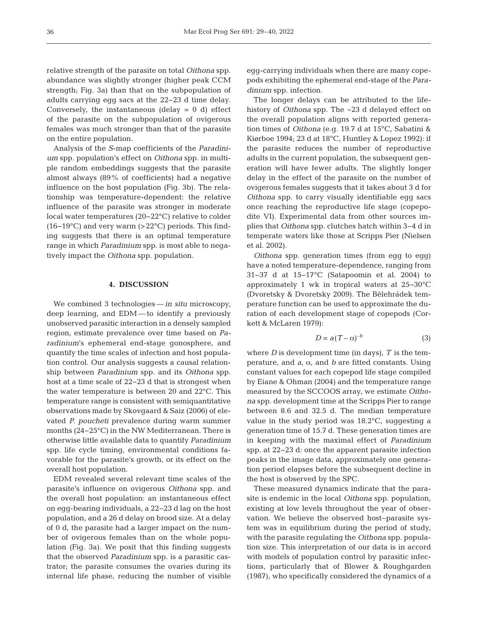relative strength of the parasite on total *Oithona* spp. abundance was slightly stronger (higher peak CCM strength; Fig. 3a) than that on the subpopulation of adults carrying egg sacs at the 22−23 d time delay. Conversely, the instantaneous (delay  $= 0$  d) effect of the parasite on the subpopulation of ovigerous females was much stronger than that of the parasite on the entire population.

Analysis of the *S*-map coefficients of the *Paradinium* spp. population's effect on *Oithona* spp. in multiple random embeddings suggests that the parasite almost always (89% of coefficients) had a negative influence on the host population (Fig. 3b). The relationship was temperature-dependent: the relative influence of the parasite was stronger in moderate local water temperatures (20−22°C) relative to colder (16−19°C) and very warm (>22°C) periods. This finding suggests that there is an optimal temperature range in which *Paradinium* spp. is most able to negatively impact the *Oithona* spp. population.

## **4. DISCUSSION**

We combined 3 technologies —*in situ* microscopy, deep learning, and EDM — to identify a previously un observed parasitic interaction in a densely sampled region, estimate prevalence over time based on *Pa radinium*'s ephemeral end-stage gonosphere, and quantify the time scales of infection and host population control. Our analysis suggests a causal relationship between *Paradinium* spp. and its *Oithona* spp. host at a time scale of 22−23 d that is strongest when the water temperature is between 20 and 22°C. This temperature range is consistent with semiquantitative observations made by Skovgaard & Saiz (2006) of elevated *P. poucheti* prevalence during warm summer months (24−25°C) in the NW Mediterranean. There is otherwise little available data to quantify *Paradinium* spp. life cycle timing, environmental conditions favorable for the parasite's growth, or its effect on the overall host population.

EDM revealed several relevant time scales of the parasite's influence on ovigerous *Oithona* spp. and the overall host population: an instantaneous effect on egg-bearing individuals, a 22−23 d lag on the host population, and a 26 d delay on brood size. At a delay of 0 d, the parasite had a larger impact on the number of ovigerous females than on the whole population (Fig. 3a). We posit that this finding suggests that the observed *Paradinium* spp. is a parasitic castrator; the parasite consumes the ovaries during its internal life phase, reducing the number of visible

egg-carrying individuals when there are many copepods ex hibiting the ephemeral end-stage of the *Paradinium* spp. infection.

The longer delays can be attributed to the lifehistory of *Oithona* spp. The ~23 d delayed effect on the overall population aligns with reported generation times of *Oithona* (e.g. 19.7 d at 15°C, Sabatini & Kiørboe 1994; 23 d at 18°C, Huntley & Lopez 1992): if the parasite reduces the number of reproductive adults in the current population, the subsequent generation will have fewer adults. The slightly longer delay in the effect of the parasite on the number of ovigerous females suggests that it takes about 3 d for *Oithona* spp. to carry visually identifiable egg sacs once reaching the reproductive life stage (copepo dite VI). Experimental data from other sources im plies that *Oithona* spp. clutches hatch within 3−4 d in temperate waters like those at Scripps Pier (Nielsen et al. 2002).

*Oithona* spp. generation times (from egg to egg) have a noted temperature-dependence, ranging from 31−37 d at 15−17°C (Satapoomin et al. 2004) to ap proximately 1 wk in tropical waters at 25−30°C (Dvoretsky & Dvoretsky 2009). The Bělehrádek temperature function can be used to approximate the duration of each development stage of copepods (Corkett & McLaren 1979):

$$
D = a(T - \alpha)^{-b} \tag{3}
$$

where *D* is development time (in days), *T* is the temperature, and *a*, α, and *b* are fitted constants. Using constant values for each copepod life stage compiled by Eiane & Ohman (2004) and the temperature range measured by the SCCOOS array, we estimate *Oitho na* spp. development time at the Scripps Pier to range be tween 8.6 and 32.5 d. The median temperature value in the study period was 18.2°C, suggesting a generation time of 15.7 d. These generation times are in keeping with the maximal effect of *Paradinium* spp. at 22−23 d: once the apparent parasite infection peaks in the image data, approximately one generation period elapses before the subsequent decline in the host is observed by the SPC.

These measured dynamics indicate that the parasite is endemic in the local *Oithona* spp. population, existing at low levels throughout the year of obser vation. We believe the observed host−parasite system was in equilibrium during the period of study, with the parasite regulating the *Oithona* spp. population size. This interpretation of our data is in accord with models of population control by parasitic infections, particularly that of Blower & Roughgarden (1987), who specifically considered the dynamics of a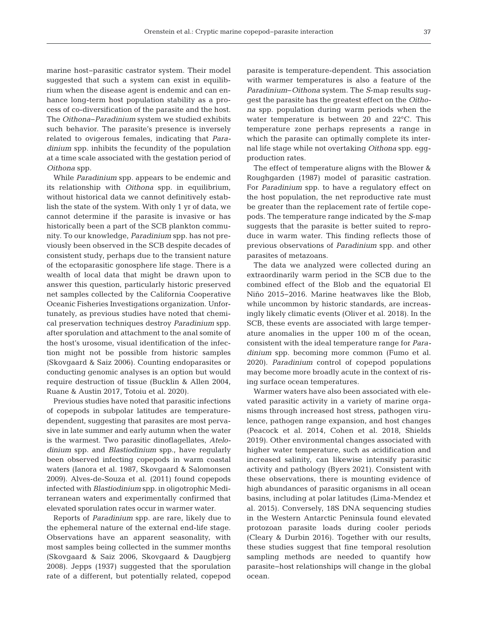marine host−parasitic castrator system. Their model suggested that such a system can exist in equilibrium when the disease agent is endemic and can enhance long-term host population stability as a process of co-diversification of the parasite and the host. The *Oithona*−*Paradinium* system we studied exhibits such behavior. The parasite's presence is inversely re lated to ovigerous females, indicating that *Paradinium* spp. inhibits the fecundity of the population at a time scale associated with the gestation period of *Oithona* spp.

While *Paradinium* spp. appears to be endemic and its relationship with *Oithona* spp. in equilibrium, without historical data we cannot definitively establish the state of the system. With only 1 yr of data, we cannot determine if the parasite is invasive or has historically been a part of the SCB plankton community. To our knowledge, *Paradinium* spp. has not previously been observed in the SCB despite decades of consistent study, perhaps due to the transient nature of the ectoparasitic gonosphere life stage. There is a wealth of local data that might be drawn upon to answer this question, particularly historic preserved net samples collected by the California Cooperative Oceanic Fisheries Investigations organization. Unfortunately, as previous studies have noted that chemical preservation techniques destroy *Paradinium* spp. after sporulation and attachment to the anal somite of the host's urosome, visual identification of the infection might not be possible from historic samples (Skovgaard & Saiz 2006). Counting endoparasites or conducting genomic analyses is an option but would require destruction of tissue (Bucklin & Allen 2004, Ruane & Austin 2017, Totoiu et al. 2020).

Previous studies have noted that parasitic infections of copepods in subpolar latitudes are temperaturedependent, suggesting that parasites are most pervasive in late summer and early autumn when the water is the warmest. Two parasitic dinoflagellates, *Atelodinium* spp. and *Blastiodinium* spp., have regularly been observed infecting copepods in warm coastal waters (Ianora et al. 1987, Skovgaard & Salomonsen 2009). Alves-de-Souza et al. (2011) found copepods in fected with *Blastiodinium* spp. in oligotrophic Mediterranean waters and experimentally confirmed that elevated sporulation rates occur in warmer water.

Reports of *Paradinium* spp. are rare, likely due to the ephemeral nature of the external end-life stage. Observations have an apparent seasonality, with most samples being collected in the summer months (Skovgaard & Saiz 2006, Skovgaard & Daugbjerg 2008). Jepps (1937) suggested that the sporulation rate of a different, but potentially related, copepod

parasite is temperature-dependent. This association with warmer temperatures is also a feature of the *Paradinium*−*Oithona* system. The *S*-map results suggest the parasite has the greatest effect on the *Oitho na* spp. population during warm periods when the water temperature is between 20 and 22°C. This temperature zone perhaps represents a range in which the parasite can optimally complete its internal life stage while not overtaking *Oithona* spp. eggproduction rates.

The effect of temperature aligns with the Blower & Roughgarden (1987) model of parasitic castration. For *Paradinium* spp. to have a regulatory effect on the host population, the net reproductive rate must be greater than the replacement rate of fertile copepods. The temperature range indicated by the *S*-map suggests that the parasite is better suited to reproduce in warm water. This finding reflects those of previous observations of *Paradinium* spp. and other parasites of metazoans.

The data we analyzed were collected during an extraordinarily warm period in the SCB due to the combined effect of the Blob and the equatorial El Niño 2015−2016. Marine heatwaves like the Blob, while uncommon by historic standards, are increasingly likely climatic events (Oliver et al. 2018). In the SCB, these events are associated with large temperature anomalies in the upper 100 m of the ocean, consistent with the ideal temperature range for *Paradinium* spp. becoming more common (Fumo et al. 2020). *Paradinium* control of copepod populations may become more broadly acute in the context of rising surface ocean temperatures.

Warmer waters have also been associated with elevated parasitic activity in a variety of marine organisms through increased host stress, pathogen virulence, pathogen range expansion, and host changes (Peacock et al. 2014, Cohen et al. 2018, Shields 2019). Other environmental changes associated with higher water temperature, such as acidification and in creased salinity, can likewise intensify parasitic activity and pathology (Byers 2021). Consistent with these observations, there is mounting evidence of high abundances of parasitic organisms in all ocean basins, including at polar latitudes (Lima-Mendez et al. 2015). Conversely, 18S DNA sequencing studies in the Western Antarctic Peninsula found elevated protozoan parasite loads during cooler periods (Cleary & Durbin 2016). Together with our results, these studies suggest that fine temporal resolution sampling methods are needed to quantify how parasite−host relationships will change in the global ocean.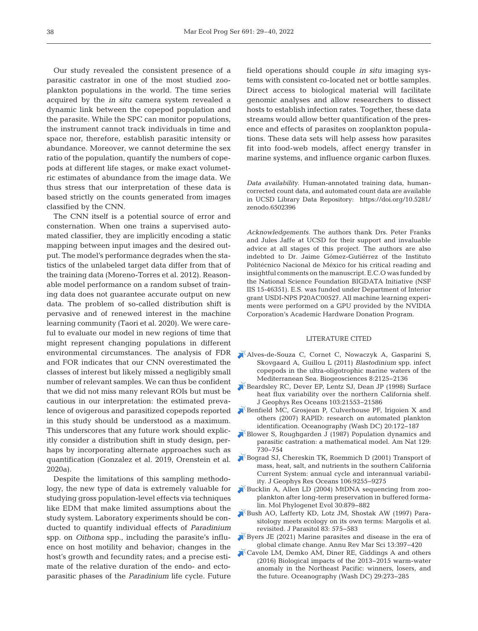Our study revealed the consistent presence of a parasitic castrator in one of the most studied zooplankton populations in the world. The time series acquired by the *in situ* camera system revealed a dynamic link between the copepod population and the parasite. While the SPC can monitor populations, the instrument cannot track individuals in time and space nor, therefore, establish parasitic intensity or abundance. Moreover, we cannot determine the sex ratio of the population, quantify the numbers of copepods at different life stages, or make exact volumetric estimates of abundance from the image data. We thus stress that our interpretation of these data is based strictly on the counts generated from images classified by the CNN.

The CNN itself is a potential source of error and consternation. When one trains a supervised automated classifier, they are implicitly encoding a static mapping between input images and the desired output. The model's performance degrades when the statistics of the unlabeled target data differ from that of the training data (Moreno-Torres et al. 2012). Reasonable model performance on a random subset of training data does not guarantee accurate output on new data. The problem of so-called distribution shift is pervasive and of renewed interest in the machine learning community (Taori et al. 2020). We were careful to evaluate our model in new regions of time that might represent changing populations in different environmental circumstances. The analysis of FDR and FOR indicates that our CNN overestimated the classes of interest but likely missed a negligibly small number of relevant samples. We can thus be confident that we did not miss many relevant ROIs but must be cautious in our interpretation: the estimated prevalence of ovigerous and parasitized copepods reported in this study should be understood as a maximum. This underscores that any future work should explicitly consider a distribution shift in study design, perhaps by incorporating alternate approaches such as quantification (Gonzalez et al. 2019, Orenstein et al. 2020a).

Despite the limitations of this sampling methodology, the new type of data is extremely valuable for studying gross population-level effects via techniques like EDM that make limited assumptions about the study system. Laboratory experiments should be conducted to quantify individual effects of *Paradinium* spp. on *Oithona* spp., including the parasite's influence on host motility and behavior; changes in the host's growth and fecundity rates; and a precise estimate of the relative duration of the endo- and ectoparasitic phases of the *Paradinium* life cycle. Future

field operations should couple *in situ* imaging systems with consistent co-located net or bottle samples. Direct access to biological material will facilitate genomic analyses and allow re searchers to dissect hosts to establish infection rates. Together, these data streams would allow better quantification of the presence and effects of parasites on zooplankton populations. These data sets will help assess how parasites fit into food-web models, affect energy transfer in marine systems, and influence organic carbon fluxes.

*Data availability*. Human-annotated training data, humancorrected count data, and automated count data are available in UCSD Library Data Repository: https://doi.org/10.5281/ zenodo.6502396

*Acknowledgements*. The authors thank Drs. Peter Franks and Jules Jaffe at UCSD for their support and invaluable advice at all stages of this project. The authors are also indebted to Dr. Jaime Gómez-Gutiérrez of the Instituto Politécnico Nacional de México for his critical reading and insightful comments on the manuscript. E.C.O was funded by the National Science Foundation BIGDATA Initiative (NSF IIS 15-46351). E.S. was funded under Department of Interior grant USDI-NPS P20AC00527. All machine learning experiments were performed on a GPU provided by the NVIDIA Corporation's Academic Hardware Donation Program.

#### LITERATURE CITED

- [Alves-de-Souza C, Cornet C, Nowaczyk A, Gasparini S,](https://doi.org/10.5194/bg-8-2125-2011)  Skovgaard A, Guillou L (2011) *Blastodinium* spp. infect copepods in the ultra-oligotrophic marine waters of the Mediterranean Sea. Biogeosciences 8:2125-2136
- [Beardsley RC, Dever EP, Lentz SJ, Dean JP \(1998\) Surface](https://doi.org/10.1029/98JC01458)  heat flux variability over the northern California shelf. J Geophys Res Oceans 103:21553-21586
- [Benfield MC, Grosjean P, Culverhouse PF, Irigoien X and](https://doi.org/10.5670/oceanog.2007.63)  others (2007) RAPID: research on automated plankton identification. Oceanography (Wash DC) 20: 172−187
- [Blower S, Roughgarden J \(1987\) Population dynamics and](https://doi.org/10.1086/284669)  parasitic castration: a mathematical model. Am Nat 129: 730−754
- [Bograd SJ, Chereskin TK, Roemmich D \(2001\) Transport of](https://doi.org/10.1029/1999JC000165)  mass, heat, salt, and nutrients in the southern California Current System: annual cycle and interannual variability. J Geophys Res Oceans 106:9255-9275
- [Bucklin A, Allen LD \(2004\) MtDNA sequencing from zoo](https://doi.org/10.1016/j.ympev.2003.11.002)plankton after long-term preservation in buffered formalin. Mol Phylogenet Evol 30: 879−882
- [Bush AO, Lafferty KD, Lotz JM, Shostak AW \(1997\) Para](https://doi.org/10.2307/3284227)sitology meets ecology on its own terms: Margolis et al. revisited. J Parasitol 83:575−583
- [Byers JE \(2021\) Marine parasites and disease in the era of](https://doi.org/10.1146/annurev-marine-031920-100429)  global climate change. Annu Rev Mar Sci 13: 397−420
- [Cavole LM, Demko AM, Diner RE, Giddings A and others](https://doi.org/10.5670/oceanog.2016.32)  (2016) Biological impacts of the 2013−2015 warm-water anomaly in the Northeast Pacific: winners, losers, and the future. Oceanography (Wash DC) 29:273-285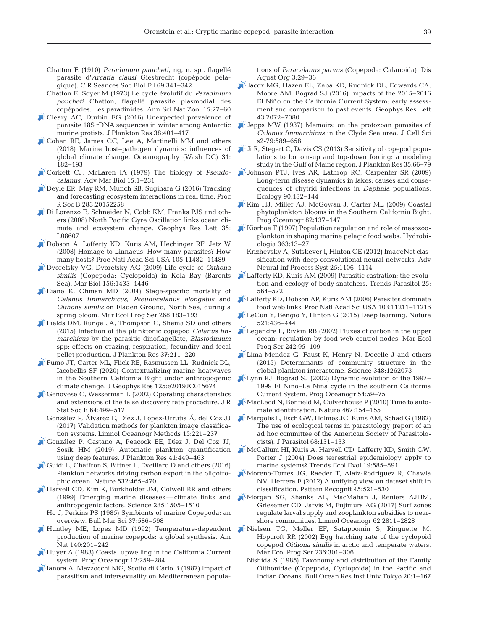- Chatton E (1910) *Paradinium paucheti*, ng, n. sp., flagellé parasite d'Arcatia clausi Giesbrecht (copépode pélagique). C R Seances Soc Biol Fil 69:341-342
- Chatton E, Soyer M (1973) Le cycle évolutif du *Paradinium poucheti* Chatton, flagellé parasite plasmodial des copépodes. Les paradinides. Ann Sci Nat Zool 15: 27−60
- [Cleary AC, Durbin EG \(2016\) Unexpected prevalence of](https://doi.org/10.1093/plankt/fbw005)  parasite 18S rDNA sequences in winter among Antarctic marine protists. J Plankton Res 38: 401−417
- [Cohen RE, James CC, Lee A, Martinelli MM and others](https://doi.org/10.5670/oceanog.2018.201)  (2018) Marine host−pathogen dynamics:influences of global climate change. Oceanography (Wash DC) 31: 182−193
- [Corkett CJ, McLaren IA \(1979\) The biology of](https://doi.org/10.1016/S0065-2881(08)60404-6) *Pseudocalanus*. Adv Mar Biol 15: 1−231
- [Deyle ER, May RM, Munch SB, Sugihara G \(2016\) Tracking](https://doi.org/10.1098/rspb.2015.2258)  and forecasting ecosystem interactions in real time. Proc R Soc B 283: 20152258
- [Di Lorenzo E, Schneider N, Cobb KM, Franks PJS and oth](https://doi.org/10.1029/2007GL032838)ers (2008) North Pacific Gyre Oscillation links ocean climate and ecosystem change. Geophys Res Lett 35: L08607
- [Dobson A, Lafferty KD, Kuris AM, Hechinger RF, Jetz W](https://doi.org/10.1073/pnas.0803232105)  (2008) Homage to Linnaeus: How many parasites? How many hosts? Proc Natl Acad Sci USA 105: 11482−11489
- [Dvoretsky VG, Dvoretsky AG \(2009\) Life cycle of](https://doi.org/10.1007/s00227-009-1183-4) *Oithona*  similis (Copepoda: Cyclopoida) in Kola Bay (Barents Sea). Mar Biol 156: 1433−1446
- [Eiane K, Ohman MD \(2004\) Stage-specific mortality of](https://doi.org/10.3354/meps268183)  *Calanus finmarchicus*, *Pseudocalanus elongatus* and *Oithona similis* on Fladen Ground, North Sea, during a spring bloom. Mar Ecol Prog Ser 268:183-193
- [Fields DM, Runge JA, Thompson C, Shema SD and others](https://doi.org/10.1093/plankt/fbu084)  (2015) Infection of the planktonic copepod *Calanus finmarchicus* by the parasitic dinoflagellate, *Blastodinium* spp: effects on grazing, respiration, fecundity and fecal pellet production. J Plankton Res 37:211-220
- [Fumo JT, Carter ML, Flick RE, Rasmussen LL, Rudnick DL,](https://doi.org/10.1029/2019JC015674)  Iacobellis SF (2020) Contextualizing marine heatwaves in the Southern California Bight under anthropogenic climate change. J Geophys Res 125:e2019JC015674
- [Genovese C, Wasserman L \(2002\) Operating characteristics](https://doi.org/10.1111/1467-9868.00347)  and extensions of the false discovery rate procedure. J R Stat Soc B 64:499-517
	- González P, Álvarez E, Díez J, López-Urrutia Á, del Coz JJ (2017) Validation methods for plankton image classification systems. Limnol Oceanogr Methods 15: 221−237
- [González P, Castano A, Peacock EE, Díez J, Del Coz JJ,](https://doi.org/10.1093/plankt/fbz023)  Sosik HM (2019) Automatic plankton quantification using deep features. J Plankton Res 41:449–463
- [Guidi L, Chaffron S, Bittner L, Eveillard D and others \(2016\)](https://doi.org/10.1038/nature16942)  Plankton networks driving carbon export in the oligotrophic ocean. Nature 532:465-470
- [Harvell CD, Kim K, Burkholder JM, Colwell RR and others](https://doi.org/10.1126/science.285.5433.1505)  (1999) Emerging marine diseases — climate links and anthropogenic factors. Science 285: 1505−1510
	- Ho J, Perkins PS (1985) Symbionts of marine Copepoda:an overview. Bull Mar Sci 37: 586−598
- [Huntley ME, Lopez MD \(1992\) Temperature-dependent](https://doi.org/10.1086/285410)  production of marine copepods: a global synthesis. Am Nat 140:201-242
- [Huyer A \(1983\) Coastal upwelling in the California Current](https://doi.org/10.1016/0079-6611(83)90010-1)  system. Prog Oceanogr 12: 259−284
- [Ianora A, Mazzocchi MG, Scotto di Carlo B \(1987\) Impact of](https://doi.org/10.3354/dao003029)  parasitism and intersexuality on Mediterranean popula-

tions of *Paracalanus parvus* (Copepoda:Calanoida). Dis Aquat Org 3: 29−36

- [Jacox MG, Hazen EL, Zaba KD, Rudnick DL, Edwards CA,](https://doi.org/10.1002/2016GL069716)  Moore AM, Bograd SJ (2016) Impacts of the 2015−2016 El Niño on the California Current System: early assessment and comparison to past events. Geophys Res Lett 43: 7072−7080
- $\delta$ Jepps MW (1937) Memoirs: on the protozoan parasites of *Calanus finmarchicus* in the Clyde Sea area. J Cell Sci s2-79:589-658
- [Ji R, Stegert C, Davis CS \(2013\) Sensitivity of copepod popu](https://doi.org/10.1093/plankt/fbs070)lations to bottom-up and top-down forcing: a modeling study in the Gulf of Maine region. J Plankton Res 35:66-79
- [Johnson PTJ, Ives AR, Lathrop RC, Carpenter SR \(2009\)](https://doi.org/10.1890/07-2071.1)  Long-term disease dynamics in lakes: causes and consequences of chytrid infections in *Daphnia* populations. Ecology 90: 132−144
- Kim HJ, Miller AJ, McGowan J, Carter ML (2009) Coastal phytoplankton blooms in the Southern California Bight. Prog Oceanogr 82:137-147
- [Kiørboe T \(1997\) Population regulation and role of mesozoo](https://doi.org/10.1023/A%3A1003173721751)plankton in shaping marine pelagic food webs. Hydrobiologia 363: 13−27
	- Krizhevsky A, Sutskever I, Hinton GE (2012) ImageNet classification with deep convolutional neural networks. Adv Neural Inf Process Syst 25: 1106−1114
- Lafferty KD, Kuris AM (2009) Parasitic castration: the evolution and ecology of body snatchers. Trends Parasitol 25: 564−572
- [Lafferty KD, Dobson AP, Kuris AM \(2006\) Parasites dominate](https://doi.org/10.1073/pnas.0604755103)  food web links. Proc Natl Acad Sci USA 103: 11211−11216
- [LeCun Y, Bengio Y, Hinton G \(2015\) Deep learning. Nature](https://doi.org/10.1038/nature14539)  521: 436−444
- Legendre L, Rivkin RB (2002) Fluxes of carbon in the upper ocean: regulation by food-web control nodes. Mar Ecol Prog Ser 242:95-109
- Lima-Mendez G, Faust K, Henry N, Decelle J and others (2015) Determinants of community structure in the global plankton interactome. Science 348: 1262073
- [Lynn RJ, Bograd SJ \(2002\) Dynamic evolution of the 1997−](https://doi.org/10.1016/S0079-6611(02)00043-5) 1999 El Niño−La Niña cycle in the southern California Current System. Prog Oceanogr 54:59-75
- [MacLeod N, Benfield M, Culverhouse P \(2010\) Time to auto](https://doi.org/10.1038/467154a)mate identification. Nature 467: 154−155
- [Margolis L, Esch GW, Holmes JC, Kuris AM, Schad G \(1982\)](https://doi.org/10.2307/3281335)  The use of ecological terms in parasitology (report of an ad hoc committee of the American Society of Parasitologists). J Parasitol 68: 131−133
- [McCallum HI, Kuris A, Harvell CD, Lafferty KD, Smith GW,](https://doi.org/10.1016/j.tree.2004.08.009)  Porter J (2004) Does terrestrial epidemiology apply to marine systems? Trends Ecol Evol 19:585-591
- $\stackrel{\wedge}{\sim}$ Moreno-Torres JG, Raeder T, Alaiz-Rodríguez R, Chawla NV, Herrera F (2012) A unifying view on dataset shift in classification. Pattern Recognit 45:521-530
- [Morgan SG, Shanks AL, MacMahan J, Reniers AJHM,](https://doi.org/10.1002/lno.10609)  Griesemer CD, Jarvis M, Fujimura AG (2017) Surf zones regulate larval supply and zooplankton subsidies to nearshore communities. Limnol Oceanogr 62: 2811−2828
- [Nielsen TG, Møller EF, Satapoomin S, Ringuette M,](https://doi.org/10.3354/meps236301)  Hopcroft RR (2002) Egg hatching rate of the cyclopoid copepod *Oithona similis* in arctic and temperate waters. Mar Ecol Prog Ser 236: 301−306
	- Nishida S (1985) Taxonomy and distribution of the Family Oithonidae (Copepoda, Cyclopoida) in the Pacific and Indian Oceans. Bull Ocean Res Inst Univ Tokyo 20: 1−167